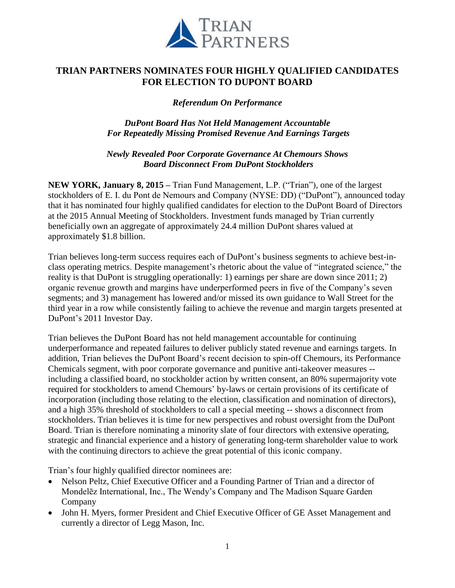

# **TRIAN PARTNERS NOMINATES FOUR HIGHLY QUALIFIED CANDIDATES FOR ELECTION TO DUPONT BOARD**

*Referendum On Performance*

*DuPont Board Has Not Held Management Accountable For Repeatedly Missing Promised Revenue And Earnings Targets*

*Newly Revealed Poor Corporate Governance At Chemours Shows Board Disconnect From DuPont Stockholders*

**NEW YORK, January 8, 2015 –** Trian Fund Management, L.P. ("Trian"), one of the largest stockholders of E. I. du Pont de Nemours and Company (NYSE: DD) ("DuPont"), announced today that it has nominated four highly qualified candidates for election to the DuPont Board of Directors at the 2015 Annual Meeting of Stockholders. Investment funds managed by Trian currently beneficially own an aggregate of approximately 24.4 million DuPont shares valued at approximately \$1.8 billion.

Trian believes long-term success requires each of DuPont's business segments to achieve best-inclass operating metrics. Despite management's rhetoric about the value of "integrated science," the reality is that DuPont is struggling operationally: 1) earnings per share are down since 2011; 2) organic revenue growth and margins have underperformed peers in five of the Company's seven segments; and 3) management has lowered and/or missed its own guidance to Wall Street for the third year in a row while consistently failing to achieve the revenue and margin targets presented at DuPont's 2011 Investor Day.

Trian believes the DuPont Board has not held management accountable for continuing underperformance and repeated failures to deliver publicly stated revenue and earnings targets. In addition, Trian believes the DuPont Board's recent decision to spin-off Chemours, its Performance Chemicals segment, with poor corporate governance and punitive anti-takeover measures - including a classified board, no stockholder action by written consent, an 80% supermajority vote required for stockholders to amend Chemours' by-laws or certain provisions of its certificate of incorporation (including those relating to the election, classification and nomination of directors), and a high 35% threshold of stockholders to call a special meeting -- shows a disconnect from stockholders. Trian believes it is time for new perspectives and robust oversight from the DuPont Board. Trian is therefore nominating a minority slate of four directors with extensive operating, strategic and financial experience and a history of generating long-term shareholder value to work with the continuing directors to achieve the great potential of this iconic company.

Trian's four highly qualified director nominees are:

- Nelson Peltz, Chief Executive Officer and a Founding Partner of Trian and a director of Mondelēz International, Inc., The Wendy's Company and The Madison Square Garden Company
- John H. Myers, former President and Chief Executive Officer of GE Asset Management and currently a director of Legg Mason, Inc.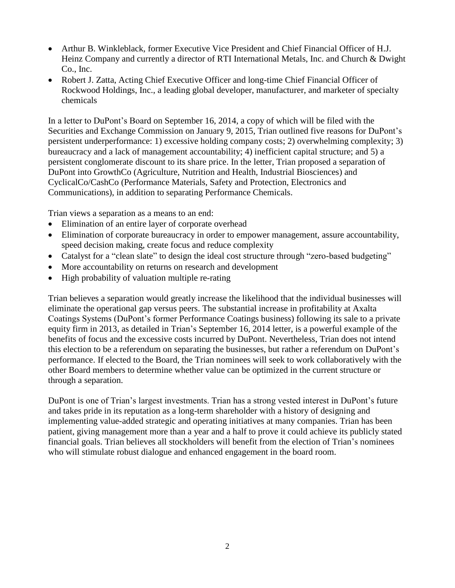- Arthur B. Winkleblack, former Executive Vice President and Chief Financial Officer of H.J. Heinz Company and currently a director of RTI International Metals, Inc. and Church & Dwight Co., Inc.
- Robert J. Zatta, Acting Chief Executive Officer and long-time Chief Financial Officer of Rockwood Holdings, Inc., a leading global developer, manufacturer, and marketer of specialty chemicals

In a letter to DuPont's Board on September 16, 2014, a copy of which will be filed with the Securities and Exchange Commission on January 9, 2015, Trian outlined five reasons for DuPont's persistent underperformance: 1) excessive holding company costs; 2) overwhelming complexity; 3) bureaucracy and a lack of management accountability; 4) inefficient capital structure; and 5) a persistent conglomerate discount to its share price. In the letter, Trian proposed a separation of DuPont into GrowthCo (Agriculture, Nutrition and Health, Industrial Biosciences) and CyclicalCo/CashCo (Performance Materials, Safety and Protection, Electronics and Communications), in addition to separating Performance Chemicals.

Trian views a separation as a means to an end:

- Elimination of an entire layer of corporate overhead
- Elimination of corporate bureaucracy in order to empower management, assure accountability, speed decision making, create focus and reduce complexity
- Catalyst for a "clean slate" to design the ideal cost structure through "zero-based budgeting"
- More accountability on returns on research and development
- High probability of valuation multiple re-rating

Trian believes a separation would greatly increase the likelihood that the individual businesses will eliminate the operational gap versus peers. The substantial increase in profitability at Axalta Coatings Systems (DuPont's former Performance Coatings business) following its sale to a private equity firm in 2013, as detailed in Trian's September 16, 2014 letter, is a powerful example of the benefits of focus and the excessive costs incurred by DuPont. Nevertheless, Trian does not intend this election to be a referendum on separating the businesses, but rather a referendum on DuPont's performance. If elected to the Board, the Trian nominees will seek to work collaboratively with the other Board members to determine whether value can be optimized in the current structure or through a separation.

DuPont is one of Trian's largest investments. Trian has a strong vested interest in DuPont's future and takes pride in its reputation as a long-term shareholder with a history of designing and implementing value-added strategic and operating initiatives at many companies. Trian has been patient, giving management more than a year and a half to prove it could achieve its publicly stated financial goals. Trian believes all stockholders will benefit from the election of Trian's nominees who will stimulate robust dialogue and enhanced engagement in the board room.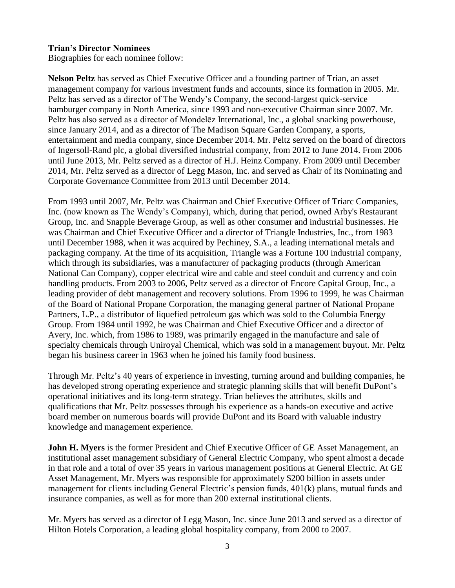## **Trian's Director Nominees**

Biographies for each nominee follow:

**Nelson Peltz** has served as Chief Executive Officer and a founding partner of Trian, an asset management company for various investment funds and accounts, since its formation in 2005. Mr. Peltz has served as a director of The Wendy's Company, the second-largest quick-service hamburger company in North America, since 1993 and non-executive Chairman since 2007. Mr. Peltz has also served as a director of Mondelēz International, Inc., a global snacking powerhouse, since January 2014, and as a director of The Madison Square Garden Company, a sports, entertainment and media company, since December 2014. Mr. Peltz served on the board of directors of Ingersoll-Rand plc, a global diversified industrial company, from 2012 to June 2014. From 2006 until June 2013, Mr. Peltz served as a director of H.J. Heinz Company. From 2009 until December 2014, Mr. Peltz served as a director of Legg Mason, Inc. and served as Chair of its Nominating and Corporate Governance Committee from 2013 until December 2014.

From 1993 until 2007, Mr. Peltz was Chairman and Chief Executive Officer of Triarc Companies, Inc. (now known as The Wendy's Company), which, during that period, owned Arby's Restaurant Group, Inc. and Snapple Beverage Group, as well as other consumer and industrial businesses. He was Chairman and Chief Executive Officer and a director of Triangle Industries, Inc., from 1983 until December 1988, when it was acquired by Pechiney, S.A., a leading international metals and packaging company. At the time of its acquisition, Triangle was a Fortune 100 industrial company, which through its subsidiaries, was a manufacturer of packaging products (through American National Can Company), copper electrical wire and cable and steel conduit and currency and coin handling products. From 2003 to 2006, Peltz served as a director of Encore Capital Group, Inc., a leading provider of debt management and recovery solutions. From 1996 to 1999, he was Chairman of the Board of National Propane Corporation, the managing general partner of National Propane Partners, L.P., a distributor of liquefied petroleum gas which was sold to the Columbia Energy Group. From 1984 until 1992, he was Chairman and Chief Executive Officer and a director of Avery, Inc. which, from 1986 to 1989, was primarily engaged in the manufacture and sale of specialty chemicals through Uniroyal Chemical, which was sold in a management buyout. Mr. Peltz began his business career in 1963 when he joined his family food business.

Through Mr. Peltz's 40 years of experience in investing, turning around and building companies, he has developed strong operating experience and strategic planning skills that will benefit DuPont's operational initiatives and its long-term strategy. Trian believes the attributes, skills and qualifications that Mr. Peltz possesses through his experience as a hands-on executive and active board member on numerous boards will provide DuPont and its Board with valuable industry knowledge and management experience.

**John H. Myers** is the former President and Chief Executive Officer of GE Asset Management, an institutional asset management subsidiary of General Electric Company, who spent almost a decade in that role and a total of over 35 years in various management positions at General Electric. At GE Asset Management, Mr. Myers was responsible for approximately \$200 billion in assets under management for clients including General Electric's pension funds, 401(k) plans, mutual funds and insurance companies, as well as for more than 200 external institutional clients.

Mr. Myers has served as a director of Legg Mason, Inc. since June 2013 and served as a director of Hilton Hotels Corporation, a leading global hospitality company, from 2000 to 2007.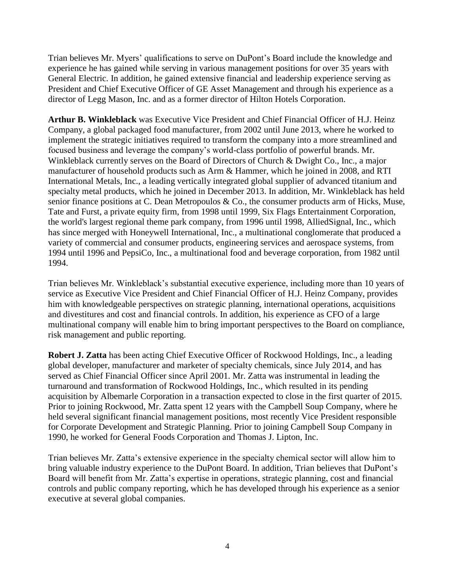Trian believes Mr. Myers' qualifications to serve on DuPont's Board include the knowledge and experience he has gained while serving in various management positions for over 35 years with General Electric. In addition, he gained extensive financial and leadership experience serving as President and Chief Executive Officer of GE Asset Management and through his experience as a director of Legg Mason, Inc. and as a former director of Hilton Hotels Corporation.

**Arthur B. Winkleblack** was Executive Vice President and Chief Financial Officer of H.J. Heinz Company, a global packaged food manufacturer, from 2002 until June 2013, where he worked to implement the strategic initiatives required to transform the company into a more streamlined and focused business and leverage the company's world-class portfolio of powerful brands. Mr. Winkleblack currently serves on the Board of Directors of Church & Dwight Co., Inc., a major manufacturer of household products such as Arm & Hammer, which he joined in 2008, and RTI International Metals, Inc., a leading vertically integrated global supplier of advanced titanium and specialty metal products, which he joined in December 2013. In addition, Mr. Winkleblack has held senior finance positions at C. Dean Metropoulos  $\&$  Co., the consumer products arm of Hicks, Muse, Tate and Furst, a private equity firm, from 1998 until 1999, Six Flags Entertainment Corporation, the world's largest regional theme park company, from 1996 until 1998, AlliedSignal, Inc., which has since merged with Honeywell International, Inc., a multinational conglomerate that produced a variety of commercial and consumer products, engineering services and aerospace systems, from 1994 until 1996 and PepsiCo, Inc., a multinational food and beverage corporation, from 1982 until 1994.

Trian believes Mr. Winkleblack's substantial executive experience, including more than 10 years of service as Executive Vice President and Chief Financial Officer of H.J. Heinz Company, provides him with knowledgeable perspectives on strategic planning, international operations, acquisitions and divestitures and cost and financial controls. In addition, his experience as CFO of a large multinational company will enable him to bring important perspectives to the Board on compliance, risk management and public reporting.

**Robert J. Zatta** has been acting Chief Executive Officer of Rockwood Holdings, Inc., a leading global developer, manufacturer and marketer of specialty chemicals, since July 2014, and has served as Chief Financial Officer since April 2001. Mr. Zatta was instrumental in leading the turnaround and transformation of Rockwood Holdings, Inc., which resulted in its pending acquisition by Albemarle Corporation in a transaction expected to close in the first quarter of 2015. Prior to joining Rockwood, Mr. Zatta spent 12 years with the Campbell Soup Company, where he held several significant financial management positions, most recently Vice President responsible for Corporate Development and Strategic Planning. Prior to joining Campbell Soup Company in 1990, he worked for General Foods Corporation and Thomas J. Lipton, Inc.

Trian believes Mr. Zatta's extensive experience in the specialty chemical sector will allow him to bring valuable industry experience to the DuPont Board. In addition, Trian believes that DuPont's Board will benefit from Mr. Zatta's expertise in operations, strategic planning, cost and financial controls and public company reporting, which he has developed through his experience as a senior executive at several global companies.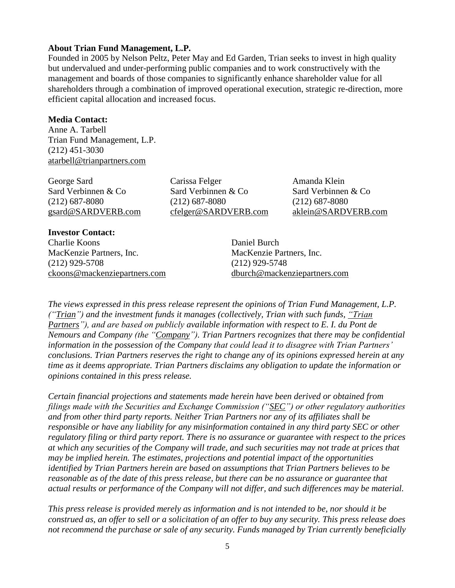## **About Trian Fund Management, L.P.**

Founded in 2005 by Nelson Peltz, Peter May and Ed Garden, Trian seeks to invest in high quality but undervalued and under-performing public companies and to work constructively with the management and boards of those companies to significantly enhance shareholder value for all shareholders through a combination of improved operational execution, strategic re-direction, more efficient capital allocation and increased focus.

#### **Media Contact:**

Anne A. Tarbell Trian Fund Management, L.P. (212) 451-3030 [atarbell@trianpartners.com](mailto:atarbell@trianpartners.com)

George Sard Sard Verbinnen & Co (212) 687-8080 [gsard@SARDVERB.com](mailto:GSard@SARDVERB.com) Carissa Felger Sard Verbinnen & Co (212) 687-8080 [cfelger@SARDVERB.com](mailto:cfelger@SARDVERB.com) Amanda Klein Sard Verbinnen & Co (212) 687-8080 [aklein@SARDVERB.com](mailto:aklein@SARDVERB.com)

**Investor Contact:** Charlie Koons MacKenzie Partners, Inc. (212) 929-5708 [ckoons@mackenziepartners.com](mailto:ckoons@mackenziepartners.com)

Daniel Burch MacKenzie Partners, Inc. (212) 929-5748 [dburch@mackenziepartners.com](mailto:dburch@mackenziepartners.com)

*The views expressed in this press release represent the opinions of Trian Fund Management, L.P. ("Trian") and the investment funds it manages (collectively, Trian with such funds, "Trian Partners"), and are based on publicly available information with respect to E. I. du Pont de Nemours and Company (the "Company"). Trian Partners recognizes that there may be confidential information in the possession of the Company that could lead it to disagree with Trian Partners' conclusions. Trian Partners reserves the right to change any of its opinions expressed herein at any time as it deems appropriate. Trian Partners disclaims any obligation to update the information or opinions contained in this press release.* 

*Certain financial projections and statements made herein have been derived or obtained from filings made with the Securities and Exchange Commission ("SEC") or other regulatory authorities and from other third party reports. Neither Trian Partners nor any of its affiliates shall be responsible or have any liability for any misinformation contained in any third party SEC or other regulatory filing or third party report. There is no assurance or guarantee with respect to the prices at which any securities of the Company will trade, and such securities may not trade at prices that may be implied herein. The estimates, projections and potential impact of the opportunities identified by Trian Partners herein are based on assumptions that Trian Partners believes to be reasonable as of the date of this press release, but there can be no assurance or guarantee that actual results or performance of the Company will not differ, and such differences may be material.* 

*This press release is provided merely as information and is not intended to be, nor should it be construed as, an offer to sell or a solicitation of an offer to buy any security. This press release does not recommend the purchase or sale of any security. Funds managed by Trian currently beneficially*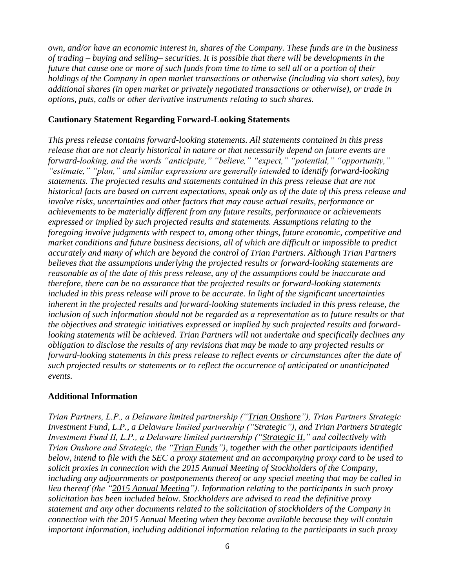*own, and/or have an economic interest in, shares of the Company. These funds are in the business of trading – buying and selling– securities. It is possible that there will be developments in the future that cause one or more of such funds from time to time to sell all or a portion of their holdings of the Company in open market transactions or otherwise (including via short sales), buy additional shares (in open market or privately negotiated transactions or otherwise), or trade in options, puts, calls or other derivative instruments relating to such shares.* 

### **Cautionary Statement Regarding Forward-Looking Statements**

*This press release contains forward-looking statements. All statements contained in this press release that are not clearly historical in nature or that necessarily depend on future events are forward-looking, and the words "anticipate," "believe," "expect," "potential," "opportunity," "estimate," "plan," and similar expressions are generally intended to identify forward-looking statements. The projected results and statements contained in this press release that are not historical facts are based on current expectations, speak only as of the date of this press release and involve risks, uncertainties and other factors that may cause actual results, performance or achievements to be materially different from any future results, performance or achievements expressed or implied by such projected results and statements. Assumptions relating to the foregoing involve judgments with respect to, among other things, future economic, competitive and market conditions and future business decisions, all of which are difficult or impossible to predict accurately and many of which are beyond the control of Trian Partners. Although Trian Partners believes that the assumptions underlying the projected results or forward-looking statements are reasonable as of the date of this press release, any of the assumptions could be inaccurate and therefore, there can be no assurance that the projected results or forward-looking statements included in this press release will prove to be accurate. In light of the significant uncertainties inherent in the projected results and forward-looking statements included in this press release, the*  inclusion of such information should not be regarded as a representation as to future results or that *the objectives and strategic initiatives expressed or implied by such projected results and forwardlooking statements will be achieved. Trian Partners will not undertake and specifically declines any obligation to disclose the results of any revisions that may be made to any projected results or forward-looking statements in this press release to reflect events or circumstances after the date of such projected results or statements or to reflect the occurrence of anticipated or unanticipated events.*

## **Additional Information**

*Trian Partners, L.P., a Delaware limited partnership ("Trian Onshore"), Trian Partners Strategic Investment Fund, L.P., a Delaware limited partnership ("Strategic"), and Trian Partners Strategic Investment Fund II, L.P., a Delaware limited partnership ("Strategic II*,*" and collectively with Trian Onshore and Strategic, the "Trian Funds"), together with the other participants identified below, intend to file with the SEC a proxy statement and an accompanying proxy card to be used to solicit proxies in connection with the 2015 Annual Meeting of Stockholders of the Company, including any adjournments or postponements thereof or any special meeting that may be called in lieu thereof (the "2015 Annual Meeting"). Information relating to the participants in such proxy solicitation has been included below. Stockholders are advised to read the definitive proxy statement and any other documents related to the solicitation of stockholders of the Company in connection with the 2015 Annual Meeting when they become available because they will contain important information, including additional information relating to the participants in such proxy*